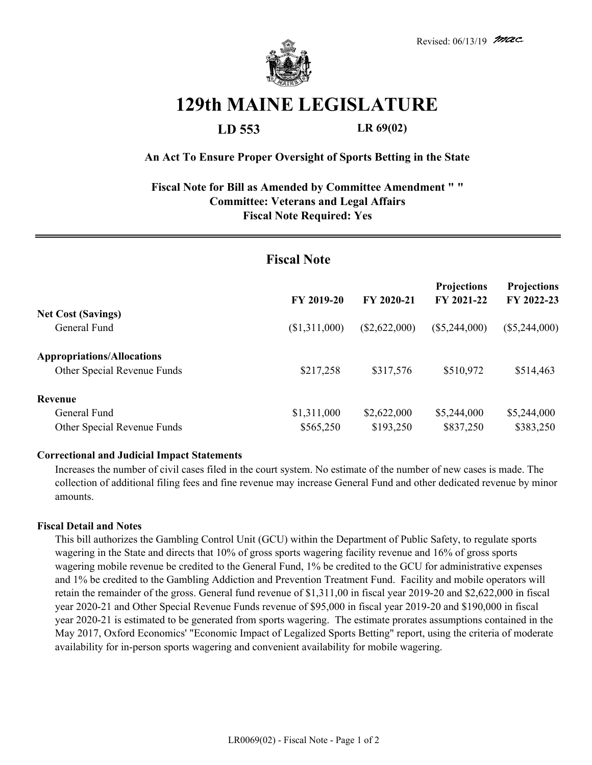

# **129th MAINE LEGISLATURE**

**LD 553 LR 69(02)**

### **An Act To Ensure Proper Oversight of Sports Betting in the State**

## **Fiscal Note for Bill as Amended by Committee Amendment " " Committee: Veterans and Legal Affairs Fiscal Note Required: Yes**

| <b>Fiscal Note</b>                                               |               |                 |                                  |                                  |
|------------------------------------------------------------------|---------------|-----------------|----------------------------------|----------------------------------|
|                                                                  | FY 2019-20    | FY 2020-21      | <b>Projections</b><br>FY 2021-22 | <b>Projections</b><br>FY 2022-23 |
| <b>Net Cost (Savings)</b><br>General Fund                        | (\$1,311,000) | $(\$2,622,000)$ | $(\$5,244,000)$                  | $(\$5,244,000)$                  |
| <b>Appropriations/Allocations</b><br>Other Special Revenue Funds | \$217,258     | \$317,576       | \$510,972                        | \$514,463                        |
| Revenue                                                          |               |                 |                                  |                                  |
| General Fund                                                     | \$1,311,000   | \$2,622,000     | \$5,244,000                      | \$5,244,000                      |
| Other Special Revenue Funds                                      | \$565,250     | \$193,250       | \$837,250                        | \$383,250                        |

#### **Correctional and Judicial Impact Statements**

Increases the number of civil cases filed in the court system. No estimate of the number of new cases is made. The collection of additional filing fees and fine revenue may increase General Fund and other dedicated revenue by minor amounts.

#### **Fiscal Detail and Notes**

This bill authorizes the Gambling Control Unit (GCU) within the Department of Public Safety, to regulate sports wagering in the State and directs that 10% of gross sports wagering facility revenue and 16% of gross sports wagering mobile revenue be credited to the General Fund, 1% be credited to the GCU for administrative expenses and 1% be credited to the Gambling Addiction and Prevention Treatment Fund. Facility and mobile operators will retain the remainder of the gross. General fund revenue of \$1,311,00 in fiscal year 2019-20 and \$2,622,000 in fiscal year 2020-21 and Other Special Revenue Funds revenue of \$95,000 in fiscal year 2019-20 and \$190,000 in fiscal year 2020-21 is estimated to be generated from sports wagering. The estimate prorates assumptions contained in the May 2017, Oxford Economics' "Economic Impact of Legalized Sports Betting" report, using the criteria of moderate availability for in-person sports wagering and convenient availability for mobile wagering.